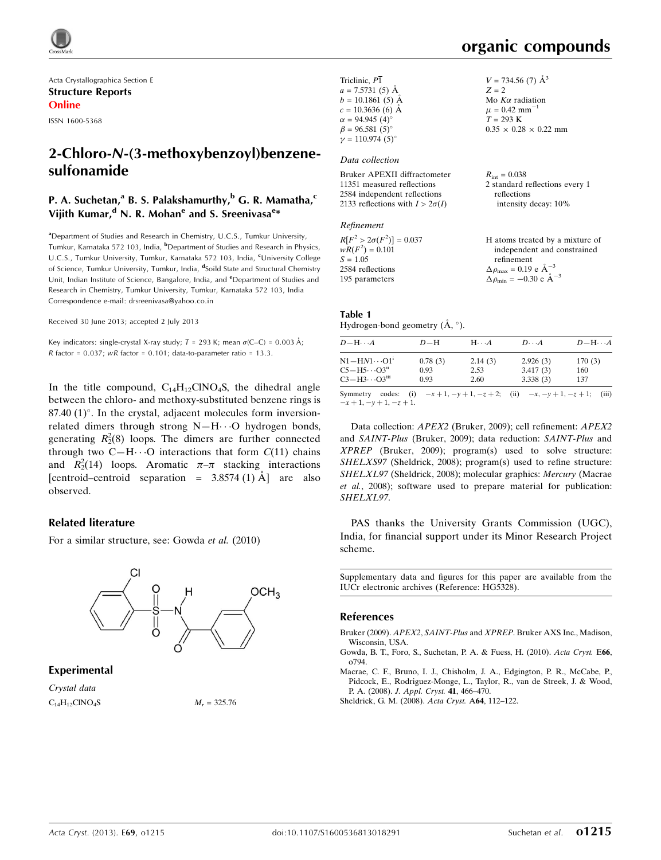

Acta Crystallographica Section E Structure Reports Online

ISSN 1600-5368

# 2-Chloro-N-(3-methoxybenzoyl)benzenesulfonamide

### P. A. Suchetan,<sup>a</sup> B. S. Palakshamurthy,<sup>b</sup> G. R. Mamatha,<sup>c</sup> Vijith Kumar,<sup>d</sup> N. R. Mohan<sup>e</sup> and S. Sreenivasa<sup>e</sup>\*

<sup>a</sup>Department of Studies and Research in Chemistry, U.C.S., Tumkur University, Tumkur, Karnataka 572 103, India, <sup>b</sup>Department of Studies and Research in Physics, U.C.S., Tumkur University, Tumkur, Karnataka 572 103, India, <sup>c</sup>University College of Science, Tumkur University, Tumkur, India, <sup>d</sup>Soild State and Structural Chemistry Unit, Indian Institute of Science, Bangalore, India, and <sup>e</sup>Department of Studies and Research in Chemistry, Tumkur University, Tumkur, Karnataka 572 103, India Correspondence e-mail: [drsreenivasa@yahoo.co.in](https://scripts.iucr.org/cgi-bin/cr.cgi?rm=pdfbb&cnor=hg5328&bbid=BB4)

Received 30 June 2013; accepted 2 July 2013

Key indicators: single-crystal X-ray study;  $T = 293$  K; mean  $\sigma$ (C–C) = 0.003 Å;  $R$  factor = 0.037;  $wR$  factor = 0.101; data-to-parameter ratio = 13.3.

In the title compound,  $C_{14}H_{12}CINO_4S$ , the dihedral angle between the chloro- and methoxy-substituted benzene rings is  $87.40$  (1) $^{\circ}$ . In the crystal, adjacent molecules form inversionrelated dimers through strong  $N-H\cdots O$  hydrogen bonds, generating  $R_2^2(8)$  loops. The dimers are further connected through two C-H $\cdots$ O interactions that form  $C(11)$  chains and  $R_2^2(14)$  loops. Aromatic  $\pi-\pi$  stacking interactions [centroid–centroid separation =  $3.8574$  (1) A] are also observed.

#### Related literature

For a similar structure, see: Gowda et al. (2010)



#### Experimental

Crystal data  $C_{14}H_{12}CINO_4S$   $M_r = 325.76$ 

| Triclinic, $P\overline{1}$             | $V = 734.56$ (7) $\AA^3$          |
|----------------------------------------|-----------------------------------|
| $a = 7.5731(5)$ Å                      | $Z = 2$                           |
| $b = 10.1861(5)$ Å                     | Mo $K\alpha$ radiation            |
| $c = 10.3636(6)$ Å                     | $\mu = 0.42$ mm <sup>-1</sup>     |
| $\alpha = 94.945(4)$ °                 | $T = 293 \text{ K}$               |
| $\beta = 96.581(5)$ °                  | $0.35 \times 0.28 \times 0.22$ mm |
| $\nu = 110.974(5)$ °                   |                                   |
| Data collection                        |                                   |
| Bruker APEXII diffractometer           | $R_{\rm int} = 0.038$             |
| 11351 measured reflections             | 2 standard reflections every 1    |
| 2584 independent reflections           | reflections                       |
| 2133 reflections with $I > 2\sigma(I)$ | intensity decay: 10%              |
| Refinement                             |                                   |
| $-5$ $-2$ $-2$ $-2$                    |                                   |

| $R[F^2 > 2\sigma(F^2)] = 0.037$ | H atoms treated by a mixture of                     |
|---------------------------------|-----------------------------------------------------|
| $wR(F^2) = 0.101$               | independent and constrained                         |
| $S = 1.05$                      | refinement                                          |
| 2584 reflections                | $\Delta \rho_{\text{max}} = 0.19 \text{ e A}^{-3}$  |
| 195 parameters                  | $\Delta \rho_{\text{min}} = -0.30 \text{ e A}^{-3}$ |

#### Table 1 Hydrogen-bond geometry  $(\AA, \degree)$ .

| $D - H \cdots A$                                                        | $D-H$           | $H\cdots A$     | $D\cdots A$          | $D = H \cdots A$ |
|-------------------------------------------------------------------------|-----------------|-----------------|----------------------|------------------|
| $N1 - H N1 \cdots O1$ <sup>1</sup><br>$C5 - H5 \cdots O3$ <sup>ii</sup> | 0.78(3)<br>0.93 | 2.14(3)<br>2.53 | 2.926(3)<br>3.417(3) | 170(3)<br>160    |
| $C3 - H3 \cdots O3$ <sup>iii</sup>                                      | 0.93            | 2.60            | 3.338(3)             | 137              |

Symmetry codes: (i)  $-x + 1$ ,  $-y + 1$ ,  $-z + 2$ ; (ii)  $-x$ ,  $-y + 1$ ,  $-z + 1$ ; (iii)  $-x + 1, -y + 1, -z + 1.$ 

Data collection: APEX2 (Bruker, 2009); cell refinement: APEX2 and SAINT-Plus (Bruker, 2009); data reduction: SAINT-Plus and XPREP (Bruker, 2009); program(s) used to solve structure: SHELXS97 (Sheldrick, 2008); program(s) used to refine structure: SHELXL97 (Sheldrick, 2008); molecular graphics: Mercury (Macrae et al., 2008); software used to prepare material for publication: SHELXL97.

PAS thanks the University Grants Commission (UGC), India, for financial support under its Minor Research Project scheme.

Supplementary data and figures for this paper are available from the IUCr electronic archives (Reference: HG5328).

#### References

Bruker (2009). APEX2, SAINT-Plus and XPREP[. Bruker AXS Inc., Madison,](https://scripts.iucr.org/cgi-bin/cr.cgi?rm=pdfbb&cnor=hg5328&bbid=BB1) [Wisconsin, USA.](https://scripts.iucr.org/cgi-bin/cr.cgi?rm=pdfbb&cnor=hg5328&bbid=BB1)

[Gowda, B. T., Foro, S., Suchetan, P. A. & Fuess, H. \(2010\).](https://scripts.iucr.org/cgi-bin/cr.cgi?rm=pdfbb&cnor=hg5328&bbid=BB2) Acta Cryst. E66, [o794.](https://scripts.iucr.org/cgi-bin/cr.cgi?rm=pdfbb&cnor=hg5328&bbid=BB2)

[Macrae, C. F., Bruno, I. J., Chisholm, J. A., Edgington, P. R., McCabe, P.,](https://scripts.iucr.org/cgi-bin/cr.cgi?rm=pdfbb&cnor=hg5328&bbid=BB3) [Pidcock, E., Rodriguez-Monge, L., Taylor, R., van de Streek, J. & Wood,](https://scripts.iucr.org/cgi-bin/cr.cgi?rm=pdfbb&cnor=hg5328&bbid=BB3) P. A. (2008). [J. Appl. Cryst.](https://scripts.iucr.org/cgi-bin/cr.cgi?rm=pdfbb&cnor=hg5328&bbid=BB3) 41, 466–470.

[Sheldrick, G. M. \(2008\).](https://scripts.iucr.org/cgi-bin/cr.cgi?rm=pdfbb&cnor=hg5328&bbid=BB4) Acta Cryst. A64, 112–122.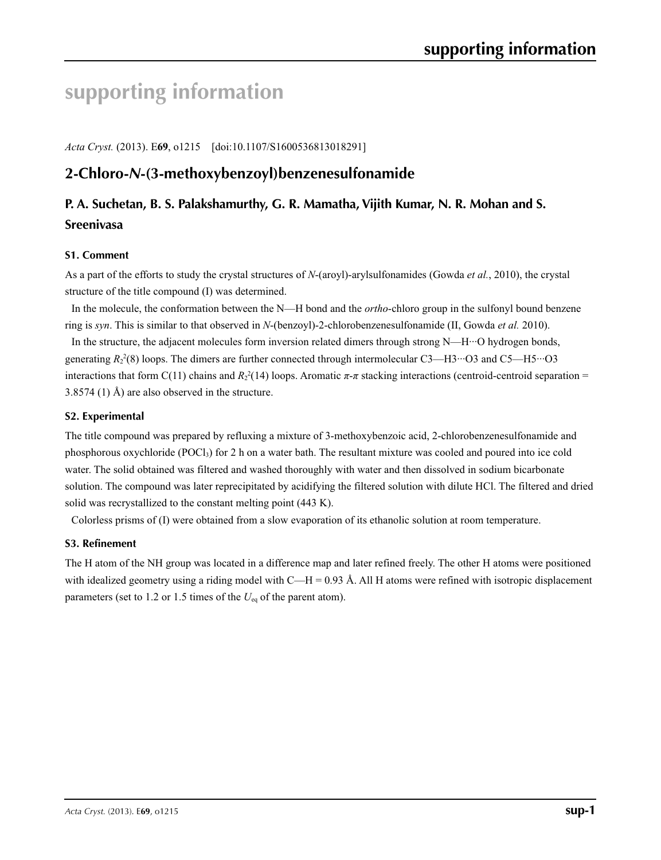# **supporting information**

*Acta Cryst.* (2013). E**69**, o1215 [doi:10.1107/S1600536813018291]

# **2-Chloro-***N***-(3-methoxybenzoyl)benzenesulfonamide**

# **P. A. Suchetan, B. S. Palakshamurthy, G. R. Mamatha, Vijith Kumar, N. R. Mohan and S. Sreenivasa**

### **S1. Comment**

As a part of the efforts to study the crystal structures of *N*-(aroyl)-arylsulfonamides (Gowda *et al.*, 2010), the crystal structure of the title compound (I) was determined.

In the molecule, the conformation between the N—H bond and the *ortho*-chloro group in the sulfonyl bound benzene ring is *syn*. This is similar to that observed in *N*-(benzoyl)-2-chlorobenzenesulfonamide (II, Gowda *et al.* 2010).

In the structure, the adjacent molecules form inversion related dimers through strong N—H···O hydrogen bonds, generating  $R_2^2(8)$  loops. The dimers are further connected through intermolecular C3—H3···O3 and C5—H5···O3 interactions that form C(11) chains and  $R_2^2(14)$  loops. Aromatic  $\pi$ - $\pi$  stacking interactions (centroid-centroid separation = 3.8574 (1) Å) are also observed in the structure.

### **S2. Experimental**

The title compound was prepared by refluxing a mixture of 3-methoxybenzoic acid, 2-chlorobenzenesulfonamide and phosphorous oxychloride (POCl<sub>3</sub>) for 2 h on a water bath. The resultant mixture was cooled and poured into ice cold water. The solid obtained was filtered and washed thoroughly with water and then dissolved in sodium bicarbonate solution. The compound was later reprecipitated by acidifying the filtered solution with dilute HCl. The filtered and dried solid was recrystallized to the constant melting point (443 K).

Colorless prisms of (I) were obtained from a slow evaporation of its ethanolic solution at room temperature.

### **S3. Refinement**

The H atom of the NH group was located in a difference map and later refined freely. The other H atoms were positioned with idealized geometry using a riding model with C—H = 0.93 Å. All H atoms were refined with isotropic displacement parameters (set to 1.2 or 1.5 times of the *U*<sub>eq</sub> of the parent atom).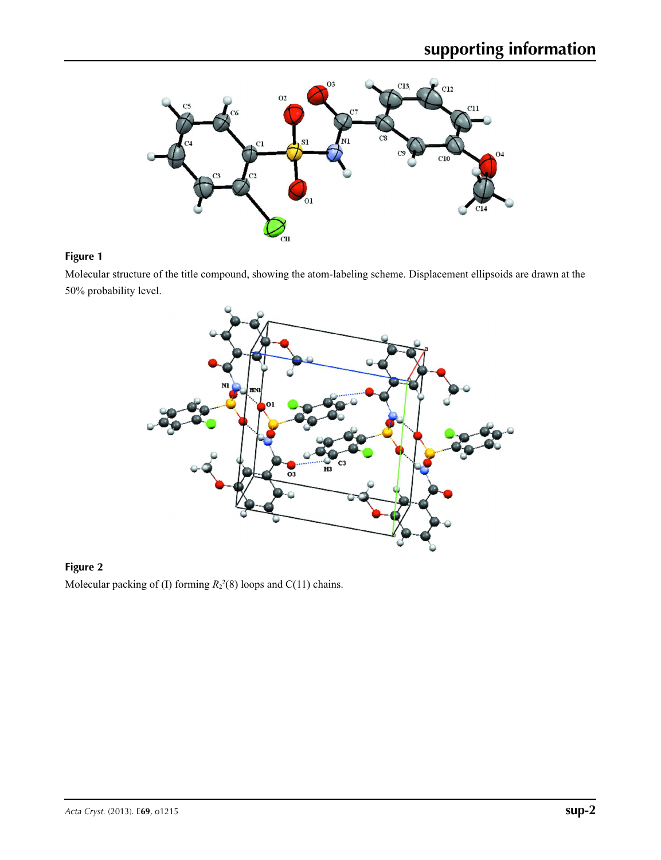

## **Figure 1**

Molecular structure of the title compound, showing the atom-labeling scheme. Displacement ellipsoids are drawn at the 50% probability level.



## **Figure 2** Molecular packing of (I) forming  $R_2^2(8)$  loops and C(11) chains.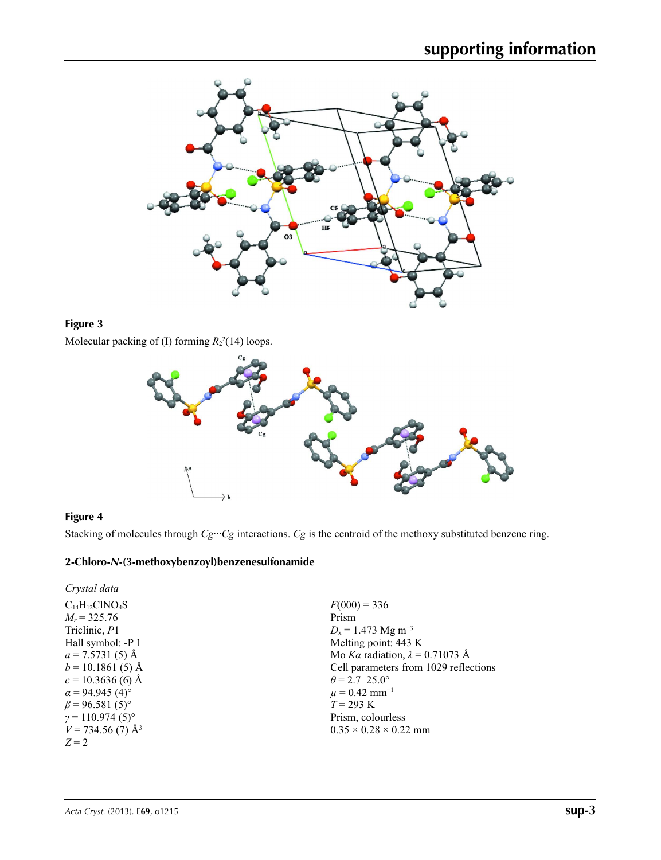

## **Figure 3**

Molecular packing of (I) forming  $R_2^2(14)$  loops.



#### **Figure 4**

Stacking of molecules through  $Cg\cdots Cg$  interactions.  $Cg$  is the centroid of the methoxy substituted benzene ring.

## **2-Chloro-***N***-(3-methoxybenzoyl)benzenesulfonamide**

| Crystal data                      |                                        |
|-----------------------------------|----------------------------------------|
| $C_{14}H_{12}CINO_4S$             | $F(000) = 336$                         |
| $M_r = 325.76$                    | Prism                                  |
| Triclinic, P1                     | $D_x = 1.473$ Mg m <sup>-3</sup>       |
| Hall symbol: -P 1                 | Melting point: 443 K                   |
| $a = 7.5731(5)$ Å                 | Mo Ka radiation, $\lambda = 0.71073$ Å |
| $b = 10.1861(5)$ Å                | Cell parameters from 1029 reflections  |
| $c = 10.3636(6)$ Å                | $\theta = 2.7 - 25.0^{\circ}$          |
| $\alpha$ = 94.945 (4)°            | $\mu$ = 0.42 mm <sup>-1</sup>          |
| $\beta$ = 96.581 (5) <sup>o</sup> | $T = 293 \text{ K}$                    |
| $\gamma = 110.974(5)$ °           | Prism, colourless                      |
| $V = 734.56(7)$ Å <sup>3</sup>    | $0.35 \times 0.28 \times 0.22$ mm      |
| $Z=2$                             |                                        |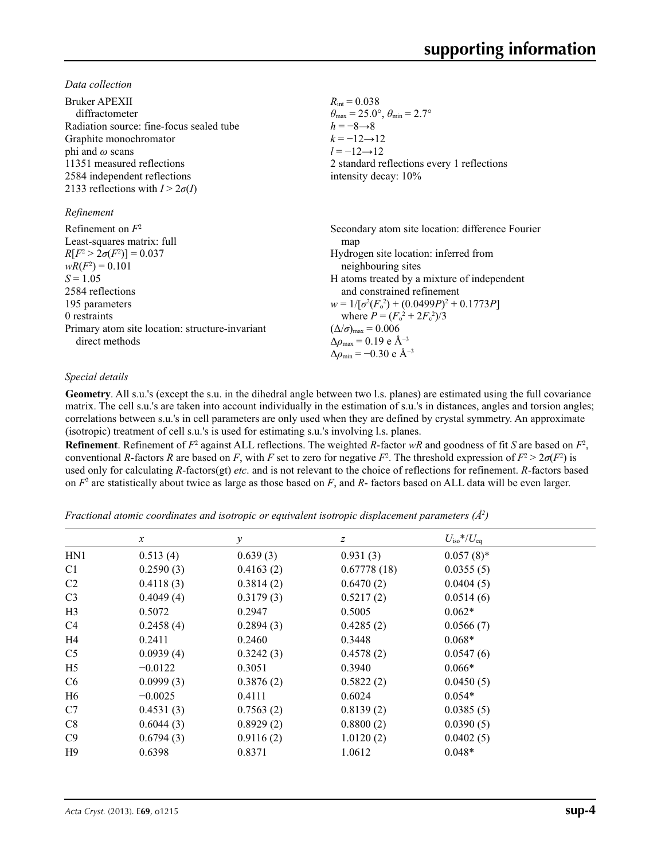*Data collection*

| $R_{\rm int} = 0.038$                                                   |
|-------------------------------------------------------------------------|
| $\theta_{\text{max}} = 25.0^{\circ}, \theta_{\text{min}} = 2.7^{\circ}$ |
| $h = -8 \rightarrow 8$                                                  |
| $k = -12 \rightarrow 12$                                                |
| $l = -12 \rightarrow 12$                                                |
| 2 standard reflections every 1 reflections                              |
| intensity decay: 10%                                                    |
|                                                                         |
|                                                                         |
| Secondary atom site location: difference Fourier                        |
| map                                                                     |
| Hydrogen site location: inferred from                                   |
| neighbouring sites                                                      |
| H atoms treated by a mixture of independent                             |
| and constrained refinement                                              |
| $w = 1/[\sigma^2(F_0^2) + (0.0499P)^2 + 0.1773P]$                       |
| where $P = (F_0^2 + 2F_c^2)/3$                                          |
| $(\Delta/\sigma)_{\text{max}} = 0.006$                                  |
| $\Delta \rho_{\rm max} = 0.19$ e Å <sup>-3</sup>                        |
| $\Delta\rho_{\rm min} = -0.30 \text{ e } \text{\AA}^{-3}$               |
|                                                                         |

#### *Special details*

**Geometry**. All s.u.'s (except the s.u. in the dihedral angle between two l.s. planes) are estimated using the full covariance matrix. The cell s.u.'s are taken into account individually in the estimation of s.u.'s in distances, angles and torsion angles; correlations between s.u.'s in cell parameters are only used when they are defined by crystal symmetry. An approximate (isotropic) treatment of cell s.u.'s is used for estimating s.u.'s involving l.s. planes.

**Refinement**. Refinement of  $F^2$  against ALL reflections. The weighted  $R$ -factor  $wR$  and goodness of fit  $S$  are based on  $F^2$ , conventional *R*-factors *R* are based on *F*, with *F* set to zero for negative *F*<sup>2</sup>. The threshold expression of  $F^2 > 2\sigma(F^2)$  is used only for calculating *R*-factors(gt) *etc*. and is not relevant to the choice of reflections for refinement. *R*-factors based on *F*<sup>2</sup> are statistically about twice as large as those based on *F*, and *R*- factors based on ALL data will be even larger.

*Fractional atomic coordinates and isotropic or equivalent isotropic displacement parameters (Å2 )*

|                | $\mathcal{X}$ | $\mathcal{V}$ | z           | $U_{\rm iso}$ */ $U_{\rm eq}$ |  |
|----------------|---------------|---------------|-------------|-------------------------------|--|
| HN1            | 0.513(4)      | 0.639(3)      | 0.931(3)    | $0.057(8)$ *                  |  |
| C <sub>1</sub> | 0.2590(3)     | 0.4163(2)     | 0.67778(18) | 0.0355(5)                     |  |
| C <sub>2</sub> | 0.4118(3)     | 0.3814(2)     | 0.6470(2)   | 0.0404(5)                     |  |
| C <sub>3</sub> | 0.4049(4)     | 0.3179(3)     | 0.5217(2)   | 0.0514(6)                     |  |
| H <sub>3</sub> | 0.5072        | 0.2947        | 0.5005      | $0.062*$                      |  |
| C <sub>4</sub> | 0.2458(4)     | 0.2894(3)     | 0.4285(2)   | 0.0566(7)                     |  |
| H <sub>4</sub> | 0.2411        | 0.2460        | 0.3448      | $0.068*$                      |  |
| C <sub>5</sub> | 0.0939(4)     | 0.3242(3)     | 0.4578(2)   | 0.0547(6)                     |  |
| H <sub>5</sub> | $-0.0122$     | 0.3051        | 0.3940      | $0.066*$                      |  |
| C <sub>6</sub> | 0.0999(3)     | 0.3876(2)     | 0.5822(2)   | 0.0450(5)                     |  |
| H <sub>6</sub> | $-0.0025$     | 0.4111        | 0.6024      | $0.054*$                      |  |
| C7             | 0.4531(3)     | 0.7563(2)     | 0.8139(2)   | 0.0385(5)                     |  |
| C8             | 0.6044(3)     | 0.8929(2)     | 0.8800(2)   | 0.0390(5)                     |  |
| C9             | 0.6794(3)     | 0.9116(2)     | 1.0120(2)   | 0.0402(5)                     |  |
| H9             | 0.6398        | 0.8371        | 1.0612      | $0.048*$                      |  |
|                |               |               |             |                               |  |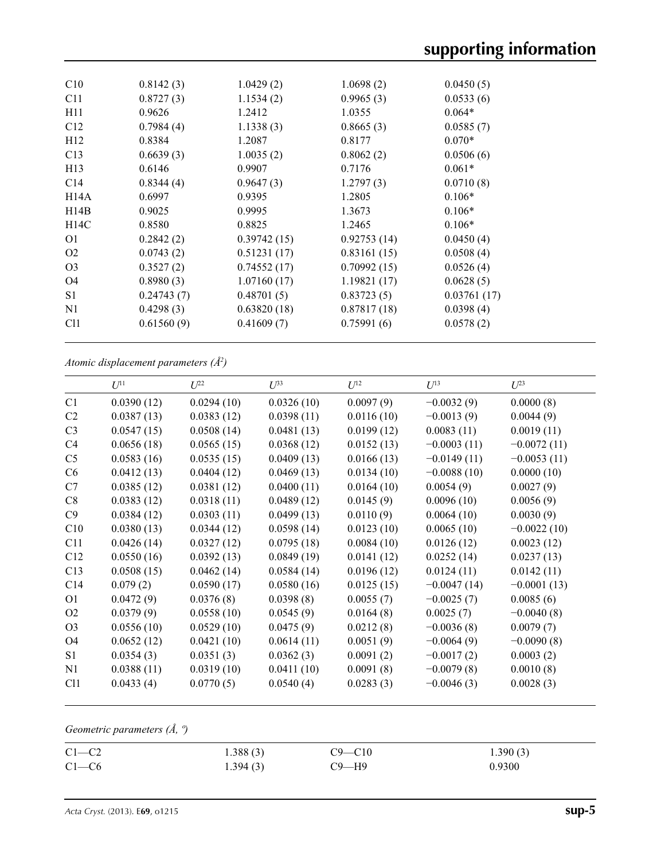| C10             | 0.8142(3)  | 1.0429(2)   | 1.0698(2)   | 0.0450(5)   |
|-----------------|------------|-------------|-------------|-------------|
| C <sub>11</sub> | 0.8727(3)  | 1.1534(2)   | 0.9965(3)   | 0.0533(6)   |
| H11             | 0.9626     | 1.2412      | 1.0355      | $0.064*$    |
| C12             | 0.7984(4)  | 1.1338(3)   | 0.8665(3)   | 0.0585(7)   |
| H12             | 0.8384     | 1.2087      | 0.8177      | $0.070*$    |
| C13             | 0.6639(3)  | 1.0035(2)   | 0.8062(2)   | 0.0506(6)   |
| H <sub>13</sub> | 0.6146     | 0.9907      | 0.7176      | $0.061*$    |
| C <sub>14</sub> | 0.8344(4)  | 0.9647(3)   | 1.2797(3)   | 0.0710(8)   |
| H14A            | 0.6997     | 0.9395      | 1.2805      | $0.106*$    |
| H14B            | 0.9025     | 0.9995      | 1.3673      | $0.106*$    |
| H14C            | 0.8580     | 0.8825      | 1.2465      | $0.106*$    |
| O <sub>1</sub>  | 0.2842(2)  | 0.39742(15) | 0.92753(14) | 0.0450(4)   |
| O <sub>2</sub>  | 0.0743(2)  | 0.51231(17) | 0.83161(15) | 0.0508(4)   |
| O <sub>3</sub>  | 0.3527(2)  | 0.74552(17) | 0.70992(15) | 0.0526(4)   |
| O4              | 0.8980(3)  | 1.07160(17) | 1.19821(17) | 0.0628(5)   |
| S <sub>1</sub>  | 0.24743(7) | 0.48701(5)  | 0.83723(5)  | 0.03761(17) |
| N1              | 0.4298(3)  | 0.63820(18) | 0.87817(18) | 0.0398(4)   |
| C <sub>11</sub> | 0.61560(9) | 0.41609(7)  | 0.75991(6)  | 0.0578(2)   |
|                 |            |             |             |             |

*Atomic displacement parameters (Å2 )*

|                | $U^{11}$   | $U^{22}$   | $U^{33}$   | $U^{12}$   | $U^{13}$      | $U^{23}$      |
|----------------|------------|------------|------------|------------|---------------|---------------|
| C1             | 0.0390(12) | 0.0294(10) | 0.0326(10) | 0.0097(9)  | $-0.0032(9)$  | 0.0000(8)     |
| C <sub>2</sub> | 0.0387(13) | 0.0383(12) | 0.0398(11) | 0.0116(10) | $-0.0013(9)$  | 0.0044(9)     |
| C <sub>3</sub> | 0.0547(15) | 0.0508(14) | 0.0481(13) | 0.0199(12) | 0.0083(11)    | 0.0019(11)    |
| C4             | 0.0656(18) | 0.0565(15) | 0.0368(12) | 0.0152(13) | $-0.0003(11)$ | $-0.0072(11)$ |
| C <sub>5</sub> | 0.0583(16) | 0.0535(15) | 0.0409(13) | 0.0166(13) | $-0.0149(11)$ | $-0.0053(11)$ |
| C <sub>6</sub> | 0.0412(13) | 0.0404(12) | 0.0469(13) | 0.0134(10) | $-0.0088(10)$ | 0.0000(10)    |
| C7             | 0.0385(12) | 0.0381(12) | 0.0400(11) | 0.0164(10) | 0.0054(9)     | 0.0027(9)     |
| C8             | 0.0383(12) | 0.0318(11) | 0.0489(12) | 0.0145(9)  | 0.0096(10)    | 0.0056(9)     |
| C9             | 0.0384(12) | 0.0303(11) | 0.0499(13) | 0.0110(9)  | 0.0064(10)    | 0.0030(9)     |
| C10            | 0.0380(13) | 0.0344(12) | 0.0598(14) | 0.0123(10) | 0.0065(10)    | $-0.0022(10)$ |
| C11            | 0.0426(14) | 0.0327(12) | 0.0795(18) | 0.0084(10) | 0.0126(12)    | 0.0023(12)    |
| C12            | 0.0550(16) | 0.0392(13) | 0.0849(19) | 0.0141(12) | 0.0252(14)    | 0.0237(13)    |
| C13            | 0.0508(15) | 0.0462(14) | 0.0584(14) | 0.0196(12) | 0.0124(11)    | 0.0142(11)    |
| C14            | 0.079(2)   | 0.0590(17) | 0.0580(16) | 0.0125(15) | $-0.0047(14)$ | $-0.0001(13)$ |
| O <sub>1</sub> | 0.0472(9)  | 0.0376(8)  | 0.0398(8)  | 0.0055(7)  | $-0.0025(7)$  | 0.0085(6)     |
| O <sub>2</sub> | 0.0379(9)  | 0.0558(10) | 0.0545(9)  | 0.0164(8)  | 0.0025(7)     | $-0.0040(8)$  |
| O <sub>3</sub> | 0.0556(10) | 0.0529(10) | 0.0475(9)  | 0.0212(8)  | $-0.0036(8)$  | 0.0079(7)     |
| O <sub>4</sub> | 0.0652(12) | 0.0421(10) | 0.0614(11) | 0.0051(9)  | $-0.0064(9)$  | $-0.0090(8)$  |
| S1             | 0.0354(3)  | 0.0351(3)  | 0.0362(3)  | 0.0091(2)  | $-0.0017(2)$  | 0.0003(2)     |
| N1             | 0.0388(11) | 0.0319(10) | 0.0411(10) | 0.0091(8)  | $-0.0079(8)$  | 0.0010(8)     |
| C11            | 0.0433(4)  | 0.0770(5)  | 0.0540(4)  | 0.0283(3)  | $-0.0046(3)$  | 0.0028(3)     |
|                |            |            |            |            |               |               |

*Geometric parameters (Å, º)*

| $C1-C2$ | 1.388(3) | $C9 - C10$ | 1.390(3) |
|---------|----------|------------|----------|
| $C1-C6$ | 1.394(3) | С9—Н9      | 0.9300   |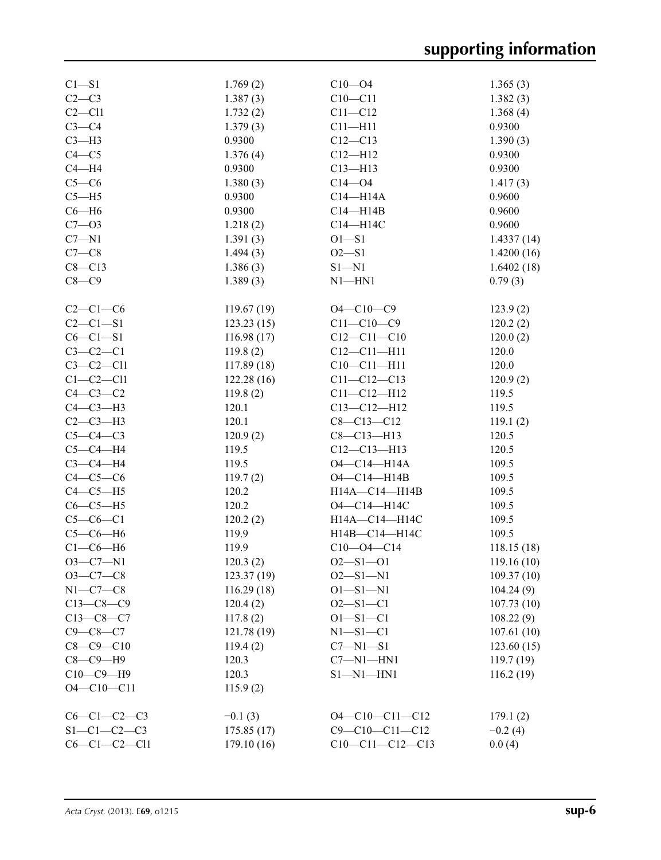| $C1 - S1$           | 1.769(2)    | $C10 - 04$             | 1.365(3)   |
|---------------------|-------------|------------------------|------------|
| $C2-C3$             | 1.387(3)    | $C10 - C11$            | 1.382(3)   |
| $C2 - C11$          | 1.732(2)    | $C11 - C12$            | 1.368(4)   |
| $C3-C4$             | 1.379(3)    | $C11 - H11$            | 0.9300     |
| $C3-H3$             | 0.9300      | $C12 - C13$            | 1.390(3)   |
| $C4 - C5$           | 1.376(4)    | $C12 - H12$            | 0.9300     |
| $C4 - H4$           | 0.9300      | $C13 - H13$            | 0.9300     |
| $C5-C6$             | 1.380(3)    | $C14 - 04$             | 1.417(3)   |
| $C5 - H5$           | 0.9300      | $C14 - H14A$           | 0.9600     |
| $C6 - H6$           | 0.9300      | $C14 - H14B$           | 0.9600     |
| $C7 - 03$           | 1.218(2)    | C14-H14C               | 0.9600     |
| $C7 - N1$           | 1.391(3)    | $O1 - S1$              | 1.4337(14) |
| $C7-C8$             | 1.494(3)    | $O2 - S1$              | 1.4200(16) |
|                     |             |                        |            |
| $C8 - C13$          | 1.386(3)    | $S1 - N1$              | 1.6402(18) |
| $C8 - C9$           | 1.389(3)    | $N1$ —HN1              | 0.79(3)    |
| $C2-C1-C6$          | 119.67(19)  | $O4 - C10 - C9$        | 123.9(2)   |
| $C2 - C1 - S1$      | 123.23(15)  | $C11 - C10 - C9$       | 120.2(2)   |
| $C6 - C1 - S1$      | 116.98(17)  | $C12 - C11 - C10$      | 120.0(2)   |
| $C3-C2-C1$          | 119.8(2)    | $C12 - C11 - H11$      | 120.0      |
| $C3-C2-C11$         | 117.89(18)  | $C10-C11-H11$          | 120.0      |
| $C1-C2-C11$         | 122.28(16)  | $C11 - C12 - C13$      | 120.9(2)   |
| $C4-C3-C2$          | 119.8(2)    | $C11 - C12 - H12$      | 119.5      |
| $C4-C3-H3$          | 120.1       | $C13 - C12 - H12$      | 119.5      |
| $C2-C3-H3$          | 120.1       | $C8 - C13 - C12$       | 119.1(2)   |
| $C5-C4-C3$          | 120.9(2)    | $C8 - C13 - H13$       | 120.5      |
| $C5-C4-H4$          | 119.5       |                        |            |
|                     |             | $C12-C13-H13$          | 120.5      |
| $C3-C4-H4$          | 119.5       | O4-C14-H14A            | 109.5      |
| $C4-C5-C6$          | 119.7(2)    | $O4 - C14 - H14B$      | 109.5      |
| $C4-C5-H5$          | 120.2       | H14A-C14-H14B          | 109.5      |
| $C6-C5-H5$          | 120.2       | O4-C14-H14C            | 109.5      |
| $C5-C6-C1$          | 120.2(2)    | H14A-C14-H14C          | 109.5      |
| $C5-C6-H6$          | 119.9       | H14B-C14-H14C          | 109.5      |
| $C1-C6-H6$          | 119.9       | $C10 - 04 - C14$       | 118.15(18) |
| $O3 - C7 - N1$      | 120.3(2)    | $O2 - S1 - O1$         | 119.16(10) |
| $O3-C7-C8$          | 123.37(19)  | $O2 - S1 - N1$         | 109.37(10) |
| $N1-C7-C8$          | 116.29(18)  | $O1 - S1 - N1$         | 104.24(9)  |
| $C13-C8-C9$         | 120.4(2)    | $O2 - S1 - C1$         | 107.73(10) |
| $C13-C8-C7$         | 117.8(2)    | $O1 - S1 - C1$         | 108.22(9)  |
| $C9 - C8 - C7$      | 121.78 (19) | $N1 - S1 - C1$         | 107.61(10) |
| $C8 - C9 - C10$     | 119.4(2)    | $C7 - N1 - S1$         | 123.60(15) |
| $C8-C9-H9$          | 120.3       | $C7 - N1 - HN1$        | 119.7(19)  |
| $C10-C9-H9$         | 120.3       | $S1 - N1 - HN1$        | 116.2(19)  |
| $O4 - C10 - C11$    | 115.9(2)    |                        |            |
|                     |             |                        |            |
| $C6-C1-C2-C3$       | $-0.1(3)$   | $O4 - C10 - C11 - C12$ | 179.1(2)   |
| $S1 - C1 - C2 - C3$ | 175.85(17)  | $C9 - C10 - C11 - C12$ | $-0.2(4)$  |
| $C6-C1-C2-C11$      | 179.10 (16) | $C10-C11-C12-C13$      | 0.0(4)     |